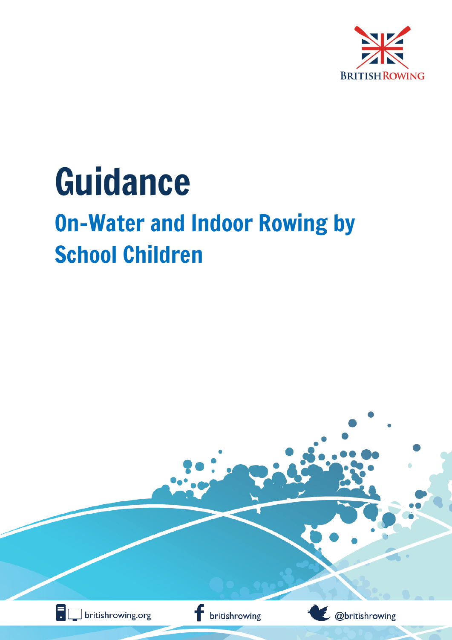

# Guidance On-Water and Indoor Rowing by School Children

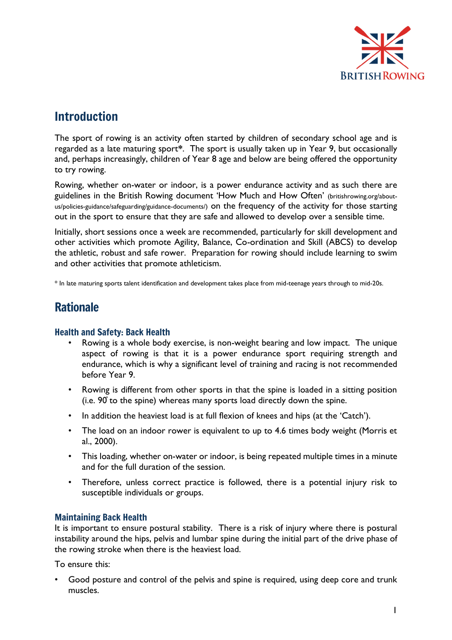

## Introduction

The sport of rowing is an activity often started by children of secondary school age and is regarded as a late maturing sport**\***. The sport is usually taken up in Year 9, but occasionally and, perhaps increasingly, children of Year 8 age and below are being offered the opportunity to try rowing.

Rowing, whether on-water or indoor, is a power endurance activity and as such there are guidelines in the British Rowing document 'How Much and How Often' (britishrowing.org/aboutus/policies-guidance/safeguarding/guidance-documents/) on the frequency of the activity for those starting out in the sport to ensure that they are safe and allowed to develop over a sensible time.

Initially, short sessions once a week are recommended, particularly for skill development and other activities which promote Agility, Balance, Co-ordination and Skill (ABCS) to develop the athletic, robust and safe rower. Preparation for rowing should include learning to swim and other activities that promote athleticism.

\* In late maturing sports talent identification and development takes place from mid-teenage years through to mid-20s.

## Rationale

#### Health and Safety: Back Health

- Rowing is a whole body exercise, is non-weight bearing and low impact. The unique aspect of rowing is that it is a power endurance sport requiring strength and endurance, which is why a significant level of training and racing is not recommended before Year 9.
- Rowing is different from other sports in that the spine is loaded in a sitting position (i.e.  $90$  to the spine) whereas many sports load directly down the spine.
- In addition the heaviest load is at full flexion of knees and hips (at the 'Catch').
- The load on an indoor rower is equivalent to up to 4.6 times body weight (Morris et al., 2000).
- This loading, whether on-water or indoor, is being repeated multiple times in a minute and for the full duration of the session.
- Therefore, unless correct practice is followed, there is a potential injury risk to susceptible individuals or groups.

#### Maintaining Back Health

It is important to ensure postural stability. There is a risk of injury where there is postural instability around the hips, pelvis and lumbar spine during the initial part of the drive phase of the rowing stroke when there is the heaviest load.

To ensure this:

Good posture and control of the pelvis and spine is required, using deep core and trunk muscles.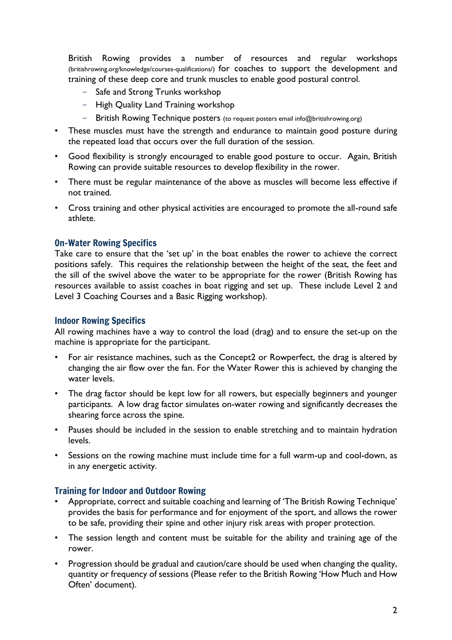British Rowing provides a number of resources and regular workshops (britishrowing.org/knowledge/courses-qualifications/) for coaches to support the development and training of these deep core and trunk muscles to enable good postural control.

- Safe and Strong Trunks workshop
- High Quality Land Training workshop
- British Rowing Technique posters (to request posters email info@britishrowing.org)
- These muscles must have the strength and endurance to maintain good posture during the repeated load that occurs over the full duration of the session.
- Good flexibility is strongly encouraged to enable good posture to occur. Again, British Rowing can provide suitable resources to develop flexibility in the rower.
- There must be regular maintenance of the above as muscles will become less effective if not trained.
- Cross training and other physical activities are encouraged to promote the all-round safe athlete.

#### On-Water Rowing Specifics

Take care to ensure that the 'set up' in the boat enables the rower to achieve the correct positions safely. This requires the relationship between the height of the seat, the feet and the sill of the swivel above the water to be appropriate for the rower (British Rowing has resources available to assist coaches in boat rigging and set up. These include Level 2 and Level 3 Coaching Courses and a Basic Rigging workshop).

#### Indoor Rowing Specifics

All rowing machines have a way to control the load (drag) and to ensure the set-up on the machine is appropriate for the participant.

- For air resistance machines, such as the Concept2 or Rowperfect, the drag is altered by changing the air flow over the fan. For the Water Rower this is achieved by changing the water levels.
- The drag factor should be kept low for all rowers, but especially beginners and younger participants. A low drag factor simulates on-water rowing and significantly decreases the shearing force across the spine.
- Pauses should be included in the session to enable stretching and to maintain hydration levels.
- Sessions on the rowing machine must include time for a full warm-up and cool-down, as in any energetic activity.

#### Training for Indoor and Outdoor Rowing

- Appropriate, correct and suitable coaching and learning of 'The British Rowing Technique' provides the basis for performance and for enjoyment of the sport, and allows the rower to be safe, providing their spine and other injury risk areas with proper protection.
- The session length and content must be suitable for the ability and training age of the rower.
- Progression should be gradual and caution/care should be used when changing the quality, quantity or frequency of sessions (Please refer to the British Rowing 'How Much and How Often' document).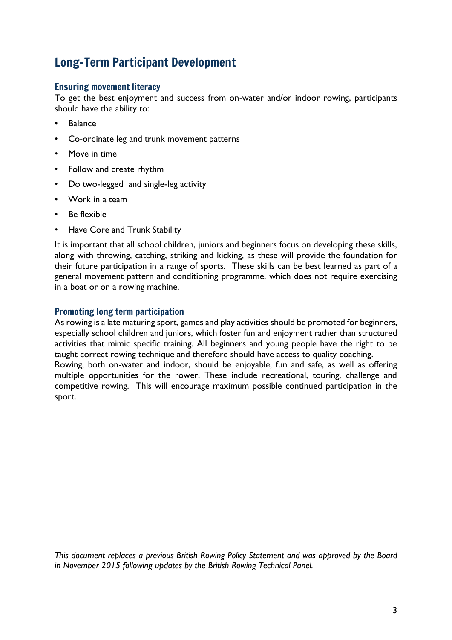## Long-Term Participant Development

#### Ensuring movement literacy

To get the best enjoyment and success from on-water and/or indoor rowing, participants should have the ability to:

- **Balance**
- Co-ordinate leg and trunk movement patterns
- Move in time
- Follow and create rhythm
- Do two-legged and single-leg activity
- Work in a team
- Be flexible
- Have Core and Trunk Stability

It is important that all school children, juniors and beginners focus on developing these skills, along with throwing, catching, striking and kicking, as these will provide the foundation for their future participation in a range of sports. These skills can be best learned as part of a general movement pattern and conditioning programme, which does not require exercising in a boat or on a rowing machine.

#### Promoting long term participation

As rowing is a late maturing sport, games and play activities should be promoted for beginners, especially school children and juniors, which foster fun and enjoyment rather than structured activities that mimic specific training. All beginners and young people have the right to be taught correct rowing technique and therefore should have access to quality coaching. Rowing, both on-water and indoor, should be enjoyable, fun and safe, as well as offering multiple opportunities for the rower. These include recreational, touring, challenge and competitive rowing. This will encourage maximum possible continued participation in the sport.

*This document replaces a previous British Rowing Policy Statement and was approved by the Board in November 2015 following updates by the British Rowing Technical Panel.*